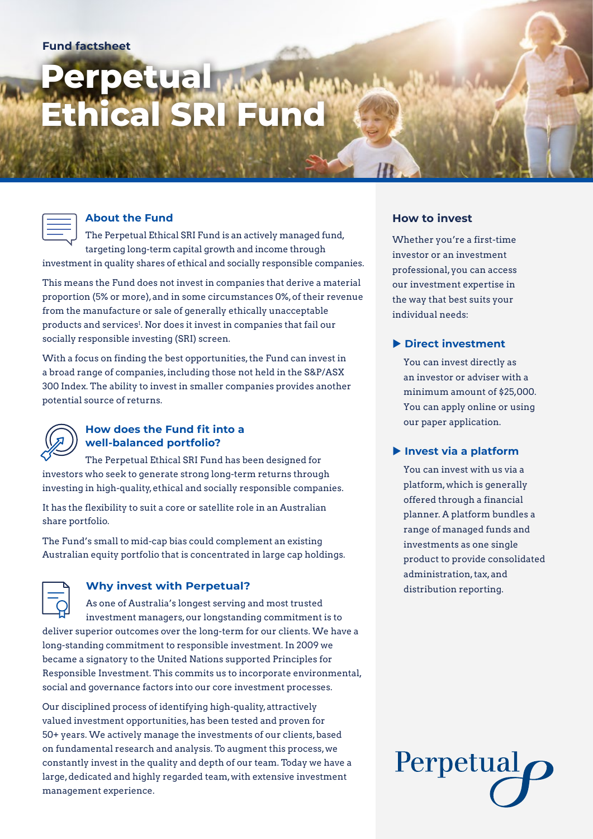# **Perpetual Ethical SRI Fund**

#### **About the Fund**

The Perpetual Ethical SRI Fund is an actively managed fund, targeting long-term capital growth and income through investment in quality shares of ethical and socially responsible companies.

This means the Fund does not invest in companies that derive a material proportion (5% or more), and in some circumstances 0%, of their revenue from the manufacture or sale of generally ethically unacceptable products and services<sup>1</sup>. Nor does it invest in companies that fail our socially responsible investing (SRI) screen.

With a focus on finding the best opportunities, the Fund can invest in a broad range of companies, including those not held in the S&P/ASX 300 Index. The ability to invest in smaller companies provides another potential source of returns.



#### **How does the Fund fit into a well-balanced portfolio?**

The Perpetual Ethical SRI Fund has been designed for investors who seek to generate strong long-term returns through investing in high-quality, ethical and socially responsible companies.

It has the flexibility to suit a core or satellite role in an Australian share portfolio.

The Fund's small to mid-cap bias could complement an existing Australian equity portfolio that is concentrated in large cap holdings.

### **Why invest with Perpetual?**

As one of Australia's longest serving and most trusted investment managers, our longstanding commitment is to deliver superior outcomes over the long-term for our clients. We have a long-standing commitment to responsible investment. In 2009 we became a signatory to the United Nations supported Principles for Responsible Investment. This commits us to incorporate environmental, social and governance factors into our core investment processes.

Our disciplined process of identifying high-quality, attractively valued investment opportunities, has been tested and proven for 50+ years. We actively manage the investments of our clients, based on fundamental research and analysis. To augment this process, we constantly invest in the quality and depth of our team. Today we have a large, dedicated and highly regarded team, with extensive investment management experience.

#### **How to invest**

Whether you're a first-time investor or an investment professional, you can access our investment expertise in the way that best suits your individual needs:

#### **Direct investment**

You can invest directly as an investor or adviser with a minimum amount of \$25,000. You can apply online or using our paper application.

#### **Invest via a platform**

You can invest with us via a platform, which is generally offered through a financial planner. A platform bundles a range of managed funds and investments as one single product to provide consolidated administration, tax, and distribution reporting.